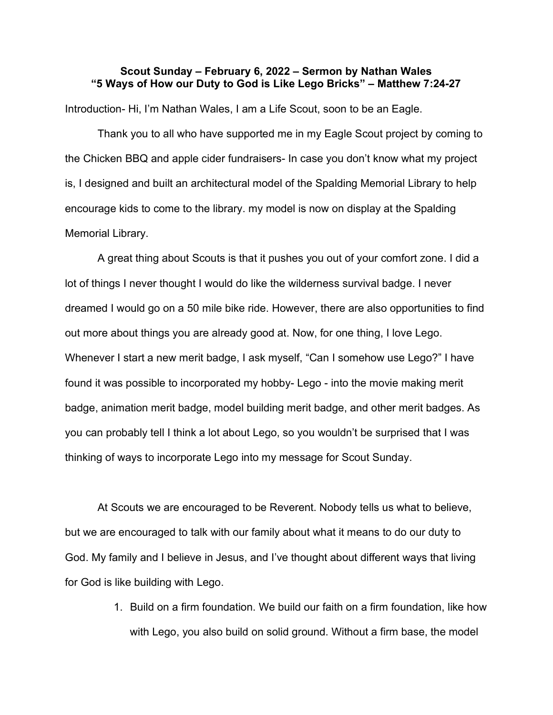## Scout Sunday – February 6, 2022 – Sermon by Nathan Wales "5 Ways of How our Duty to God is Like Lego Bricks" – Matthew 7:24-27

Introduction- Hi, I'm Nathan Wales, I am a Life Scout, soon to be an Eagle.

Thank you to all who have supported me in my Eagle Scout project by coming to the Chicken BBQ and apple cider fundraisers- In case you don't know what my project is, I designed and built an architectural model of the Spalding Memorial Library to help encourage kids to come to the library. my model is now on display at the Spalding Memorial Library.

A great thing about Scouts is that it pushes you out of your comfort zone. I did a lot of things I never thought I would do like the wilderness survival badge. I never dreamed I would go on a 50 mile bike ride. However, there are also opportunities to find out more about things you are already good at. Now, for one thing, I love Lego. Whenever I start a new merit badge, I ask myself, "Can I somehow use Lego?" I have found it was possible to incorporated my hobby- Lego - into the movie making merit badge, animation merit badge, model building merit badge, and other merit badges. As you can probably tell I think a lot about Lego, so you wouldn't be surprised that I was thinking of ways to incorporate Lego into my message for Scout Sunday.

At Scouts we are encouraged to be Reverent. Nobody tells us what to believe, but we are encouraged to talk with our family about what it means to do our duty to God. My family and I believe in Jesus, and I've thought about different ways that living for God is like building with Lego.

> 1. Build on a firm foundation. We build our faith on a firm foundation, like how with Lego, you also build on solid ground. Without a firm base, the model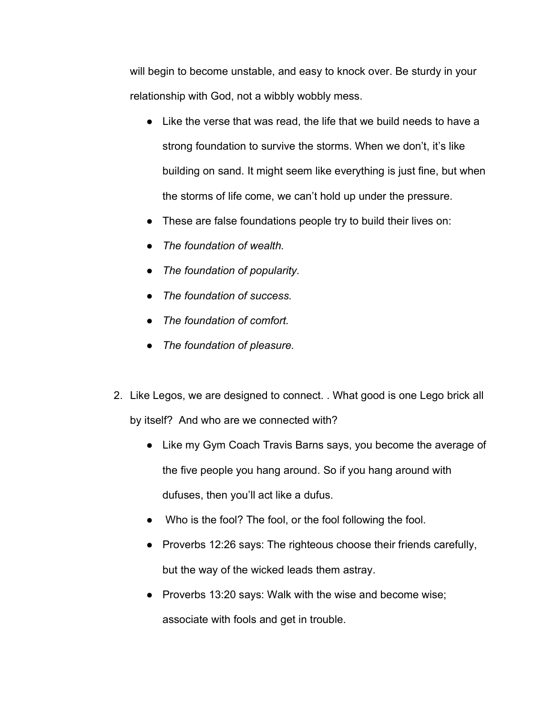will begin to become unstable, and easy to knock over. Be sturdy in your relationship with God, not a wibbly wobbly mess.

- Like the verse that was read, the life that we build needs to have a strong foundation to survive the storms. When we don't, it's like building on sand. It might seem like everything is just fine, but when the storms of life come, we can't hold up under the pressure.
- These are false foundations people try to build their lives on:
- The foundation of wealth.
- The foundation of popularity.
- The foundation of success.
- The foundation of comfort.
- The foundation of pleasure.
- 2. Like Legos, we are designed to connect. . What good is one Lego brick all by itself? And who are we connected with?
	- Like my Gym Coach Travis Barns says, you become the average of the five people you hang around. So if you hang around with dufuses, then you'll act like a dufus.
	- Who is the fool? The fool, or the fool following the fool.
	- Proverbs 12:26 says: The righteous choose their friends carefully, but the way of the wicked leads them astray.
	- Proverbs 13:20 says: Walk with the wise and become wise; associate with fools and get in trouble.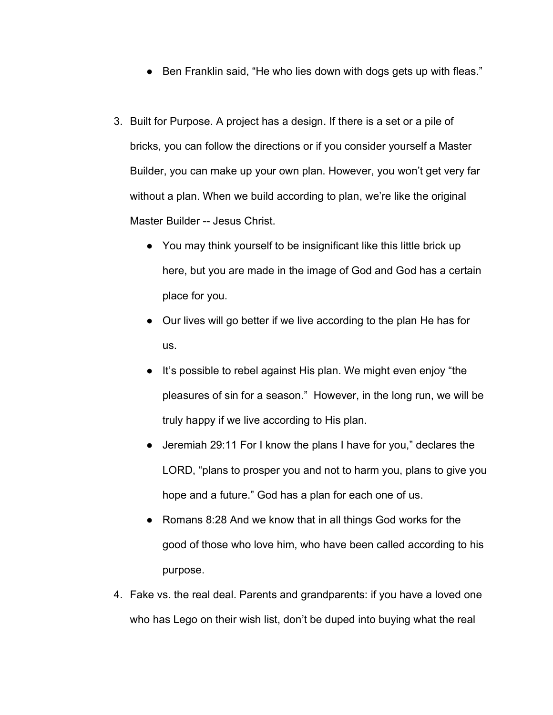- Ben Franklin said, "He who lies down with dogs gets up with fleas."
- 3. Built for Purpose. A project has a design. If there is a set or a pile of bricks, you can follow the directions or if you consider yourself a Master Builder, you can make up your own plan. However, you won't get very far without a plan. When we build according to plan, we're like the original Master Builder -- Jesus Christ.
	- You may think yourself to be insignificant like this little brick up here, but you are made in the image of God and God has a certain place for you.
	- Our lives will go better if we live according to the plan He has for us.
	- It's possible to rebel against His plan. We might even enjoy "the pleasures of sin for a season." However, in the long run, we will be truly happy if we live according to His plan.
	- Jeremiah 29:11 For I know the plans I have for you," declares the LORD, "plans to prosper you and not to harm you, plans to give you hope and a future." God has a plan for each one of us.
	- Romans 8:28 And we know that in all things God works for the good of those who love him, who have been called according to his purpose.
- 4. Fake vs. the real deal. Parents and grandparents: if you have a loved one who has Lego on their wish list, don't be duped into buying what the real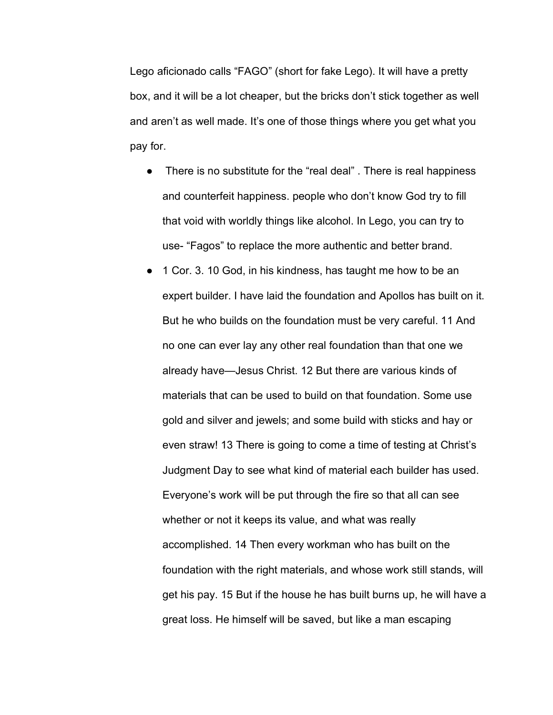Lego aficionado calls "FAGO" (short for fake Lego). It will have a pretty box, and it will be a lot cheaper, but the bricks don't stick together as well and aren't as well made. It's one of those things where you get what you pay for.

- There is no substitute for the "real deal" . There is real happiness and counterfeit happiness. people who don't know God try to fill that void with worldly things like alcohol. In Lego, you can try to use- "Fagos" to replace the more authentic and better brand.
- 1 Cor. 3. 10 God, in his kindness, has taught me how to be an expert builder. I have laid the foundation and Apollos has built on it. But he who builds on the foundation must be very careful. 11 And no one can ever lay any other real foundation than that one we already have—Jesus Christ. 12 But there are various kinds of materials that can be used to build on that foundation. Some use gold and silver and jewels; and some build with sticks and hay or even straw! 13 There is going to come a time of testing at Christ's Judgment Day to see what kind of material each builder has used. Everyone's work will be put through the fire so that all can see whether or not it keeps its value, and what was really accomplished. 14 Then every workman who has built on the foundation with the right materials, and whose work still stands, will get his pay. 15 But if the house he has built burns up, he will have a great loss. He himself will be saved, but like a man escaping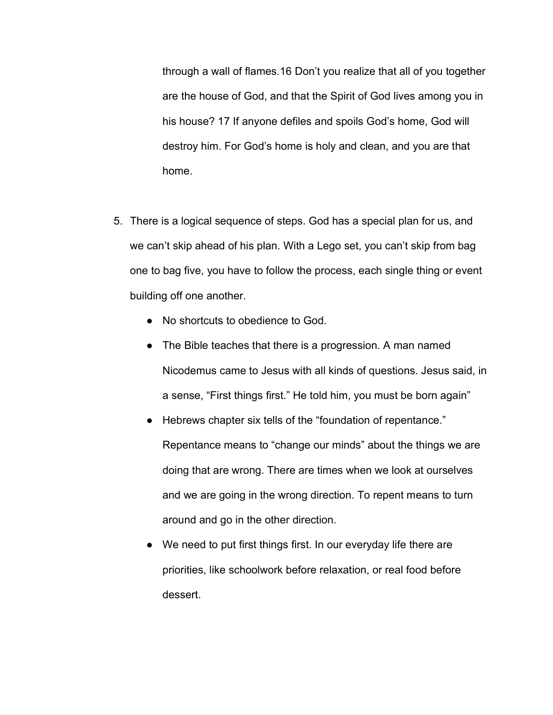through a wall of flames.16 Don't you realize that all of you together are the house of God, and that the Spirit of God lives among you in his house? 17 If anyone defiles and spoils God's home, God will destroy him. For God's home is holy and clean, and you are that home.

- 5. There is a logical sequence of steps. God has a special plan for us, and we can't skip ahead of his plan. With a Lego set, you can't skip from bag one to bag five, you have to follow the process, each single thing or event building off one another.
	- No shortcuts to obedience to God.
	- The Bible teaches that there is a progression. A man named Nicodemus came to Jesus with all kinds of questions. Jesus said, in a sense, "First things first." He told him, you must be born again"
	- Hebrews chapter six tells of the "foundation of repentance." Repentance means to "change our minds" about the things we are doing that are wrong. There are times when we look at ourselves and we are going in the wrong direction. To repent means to turn around and go in the other direction.
	- We need to put first things first. In our everyday life there are priorities, like schoolwork before relaxation, or real food before dessert.